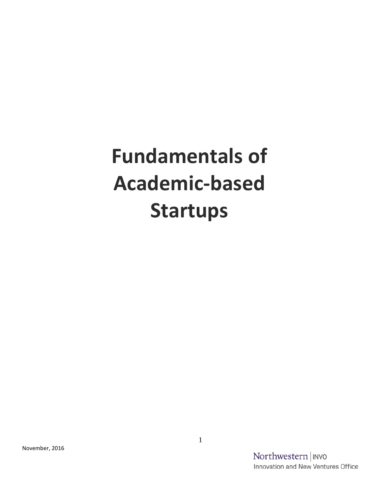# **Fundamentals of Academic-based Startups**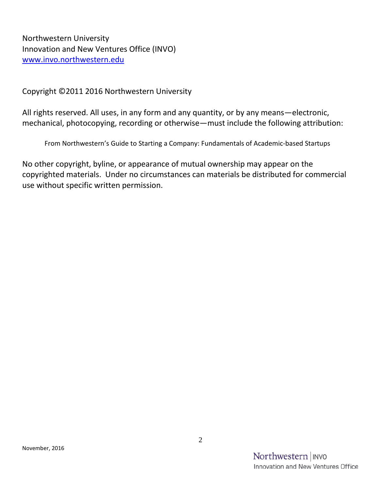Northwestern University Innovation and New Ventures Office (INVO) [www.invo.northwestern.edu](http://www.invo.northwestern.edu/)

#### Copyright ©2011 2016 Northwestern University

All rights reserved. All uses, in any form and any quantity, or by any means—electronic, mechanical, photocopying, recording or otherwise—must include the following attribution:

From Northwestern's Guide to Starting a Company: Fundamentals of Academic-based Startups

No other copyright, byline, or appearance of mutual ownership may appear on the copyrighted materials. Under no circumstances can materials be distributed for commercial use without specific written permission.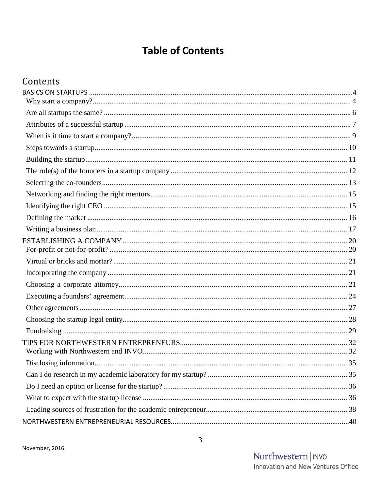# **Table of Contents**

## Contents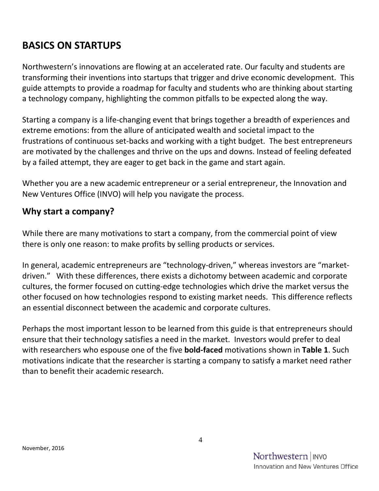# <span id="page-3-0"></span>**BASICS ON STARTUPS**

Northwestern's innovations are flowing at an accelerated rate. Our faculty and students are transforming their inventions into startups that trigger and drive economic development. This guide attempts to provide a roadmap for faculty and students who are thinking about starting a technology company, highlighting the common pitfalls to be expected along the way.

Starting a company is a life-changing event that brings together a breadth of experiences and extreme emotions: from the allure of anticipated wealth and societal impact to the frustrations of continuous set-backs and working with a tight budget. The best entrepreneurs are motivated by the challenges and thrive on the ups and downs. Instead of feeling defeated by a failed attempt, they are eager to get back in the game and start again.

Whether you are a new academic entrepreneur or a serial entrepreneur, the Innovation and New Ventures Office (INVO) will help you navigate the process.

## <span id="page-3-1"></span>**Why start a company?**

While there are many motivations to start a company, from the commercial point of view there is only one reason: to make profits by selling products or services.

In general, academic entrepreneurs are "technology-driven," whereas investors are "marketdriven." With these differences, there exists a dichotomy between academic and corporate cultures, the former focused on cutting-edge technologies which drive the market versus the other focused on how technologies respond to existing market needs. This difference reflects an essential disconnect between the academic and corporate cultures.

Perhaps the most important lesson to be learned from this guide is that entrepreneurs should ensure that their technology satisfies a need in the market. Investors would prefer to deal with researchers who espouse one of the five **bold-faced** motivations shown in **Table 1**. Such motivations indicate that the researcher is starting a company to satisfy a market need rather than to benefit their academic research.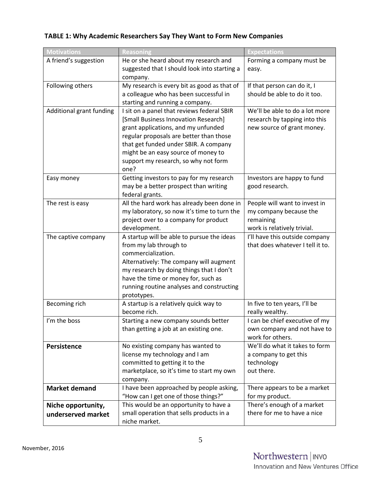#### **TABLE 1: Why Academic Researchers Say They Want to Form New Companies**

| <b>Motivations</b>       | <b>Reasoning</b>                                     | <b>Expectations</b>              |
|--------------------------|------------------------------------------------------|----------------------------------|
| A friend's suggestion    | He or she heard about my research and                | Forming a company must be        |
|                          | suggested that I should look into starting a         | easy.                            |
|                          | company.                                             |                                  |
| Following others         | My research is every bit as good as that of          | If that person can do it, I      |
|                          | a colleague who has been successful in               | should be able to do it too.     |
|                          | starting and running a company.                      |                                  |
| Additional grant funding | I sit on a panel that reviews federal SBIR           | We'll be able to do a lot more   |
|                          | [Small Business Innovation Research]                 | research by tapping into this    |
|                          | grant applications, and my unfunded                  | new source of grant money.       |
|                          | regular proposals are better than those              |                                  |
|                          | that get funded under SBIR. A company                |                                  |
|                          | might be an easy source of money to                  |                                  |
|                          | support my research, so why not form                 |                                  |
|                          | one?                                                 |                                  |
| Easy money               | Getting investors to pay for my research             | Investors are happy to fund      |
|                          | may be a better prospect than writing                | good research.                   |
|                          | federal grants.                                      |                                  |
| The rest is easy         | All the hard work has already been done in           | People will want to invest in    |
|                          | my laboratory, so now it's time to turn the          | my company because the           |
|                          | project over to a company for product                | remaining                        |
|                          | development.                                         | work is relatively trivial.      |
| The captive company      | A startup will be able to pursue the ideas           | I'll have this outside company   |
|                          | from my lab through to                               | that does whatever I tell it to. |
|                          | commercialization.                                   |                                  |
|                          | Alternatively: The company will augment              |                                  |
|                          | my research by doing things that I don't             |                                  |
|                          | have the time or money for, such as                  |                                  |
|                          | running routine analyses and constructing            |                                  |
|                          | prototypes.                                          |                                  |
| Becoming rich            | A startup is a relatively quick way to               | In five to ten years, I'll be    |
|                          | become rich.                                         | really wealthy.                  |
| I'm the boss             | Starting a new company sounds better                 | I can be chief executive of my   |
|                          | than getting a job at an existing one.               | own company and not have to      |
|                          |                                                      | work for others.                 |
| Persistence              | No existing company has wanted to                    | We'll do what it takes to form   |
|                          | license my technology and I am                       | a company to get this            |
|                          | committed to getting it to the                       | technology                       |
|                          | marketplace, so it's time to start my own            | out there.                       |
| <b>Market demand</b>     | company.<br>I have been approached by people asking, | There appears to be a market     |
|                          | "How can I get one of those things?"                 | for my product.                  |
|                          | This would be an opportunity to have a               | There's enough of a market       |
| Niche opportunity,       | small operation that sells products in a             | there for me to have a nice      |
| underserved market       | niche market.                                        |                                  |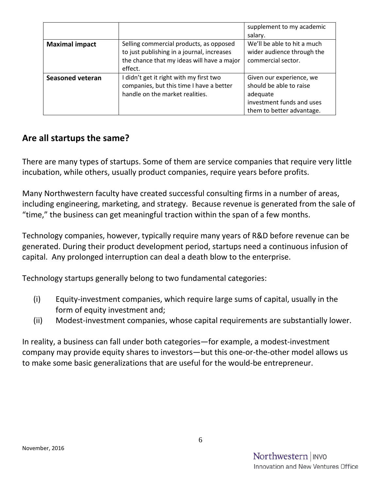|                         |                                            | supplement to my academic   |
|-------------------------|--------------------------------------------|-----------------------------|
|                         |                                            | salary.                     |
| <b>Maximal impact</b>   | Selling commercial products, as opposed    | We'll be able to hit a much |
|                         | to just publishing in a journal, increases | wider audience through the  |
|                         | the chance that my ideas will have a major | commercial sector.          |
|                         | effect.                                    |                             |
| <b>Seasoned veteran</b> | I didn't get it right with my first two    | Given our experience, we    |
|                         | companies, but this time I have a better   | should be able to raise     |
|                         | handle on the market realities.            | adequate                    |
|                         |                                            | investment funds and uses   |
|                         |                                            | them to better advantage.   |

### <span id="page-5-0"></span>**Are all startups the same?**

There are many types of startups. Some of them are service companies that require very little incubation, while others, usually product companies, require years before profits.

Many Northwestern faculty have created successful consulting firms in a number of areas, including engineering, marketing, and strategy. Because revenue is generated from the sale of "time," the business can get meaningful traction within the span of a few months.

Technology companies, however, typically require many years of R&D before revenue can be generated. During their product development period, startups need a continuous infusion of capital. Any prolonged interruption can deal a death blow to the enterprise.

Technology startups generally belong to two fundamental categories:

- (i) Equity-investment companies, which require large sums of capital, usually in the form of equity investment and;
- (ii) Modest-investment companies, whose capital requirements are substantially lower.

In reality, a business can fall under both categories—for example, a modest-investment company may provide equity shares to investors—but this one-or-the-other model allows us to make some basic generalizations that are useful for the would-be entrepreneur.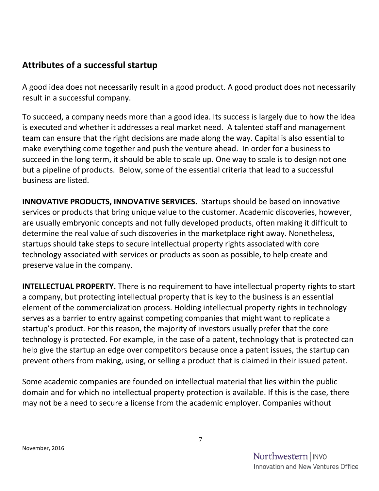## <span id="page-6-0"></span>**Attributes of a successful startup**

A good idea does not necessarily result in a good product. A good product does not necessarily result in a successful company.

To succeed, a company needs more than a good idea. Its success is largely due to how the idea is executed and whether it addresses a real market need. A talented staff and management team can ensure that the right decisions are made along the way. Capital is also essential to make everything come together and push the venture ahead. In order for a business to succeed in the long term, it should be able to scale up. One way to scale is to design not one but a pipeline of products. Below, some of the essential criteria that lead to a successful business are listed.

**INNOVATIVE PRODUCTS, INNOVATIVE SERVICES.** Startups should be based on innovative services or products that bring unique value to the customer. Academic discoveries, however, are usually embryonic concepts and not fully developed products, often making it difficult to determine the real value of such discoveries in the marketplace right away. Nonetheless, startups should take steps to secure intellectual property rights associated with core technology associated with services or products as soon as possible, to help create and preserve value in the company.

**INTELLECTUAL PROPERTY.** There is no requirement to have intellectual property rights to start a company, but protecting intellectual property that is key to the business is an essential element of the commercialization process. Holding intellectual property rights in technology serves as a barrier to entry against competing companies that might want to replicate a startup's product. For this reason, the majority of investors usually prefer that the core technology is protected. For example, in the case of a patent, technology that is protected can help give the startup an edge over competitors because once a patent issues, the startup can prevent others from making, using, or selling a product that is claimed in their issued patent.

Some academic companies are founded on intellectual material that lies within the public domain and for which no intellectual property protection is available. If this is the case, there may not be a need to secure a license from the academic employer. Companies without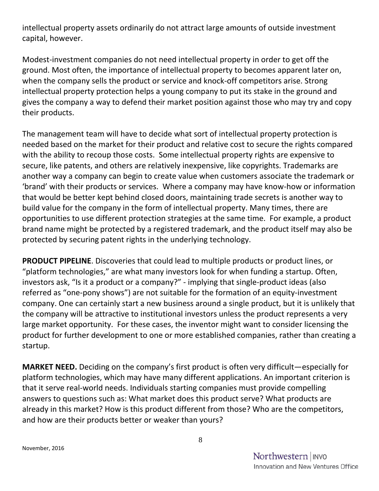intellectual property assets ordinarily do not attract large amounts of outside investment capital, however.

Modest-investment companies do not need intellectual property in order to get off the ground. Most often, the importance of intellectual property to becomes apparent later on, when the company sells the product or service and knock-off competitors arise. Strong intellectual property protection helps a young company to put its stake in the ground and gives the company a way to defend their market position against those who may try and copy their products.

The management team will have to decide what sort of intellectual property protection is needed based on the market for their product and relative cost to secure the rights compared with the ability to recoup those costs. Some intellectual property rights are expensive to secure, like patents, and others are relatively inexpensive, like copyrights. Trademarks are another way a company can begin to create value when customers associate the trademark or 'brand' with their products or services. Where a company may have know-how or information that would be better kept behind closed doors, maintaining trade secrets is another way to build value for the company in the form of intellectual property. Many times, there are opportunities to use different protection strategies at the same time. For example, a product brand name might be protected by a registered trademark, and the product itself may also be protected by securing patent rights in the underlying technology.

**PRODUCT PIPELINE**. Discoveries that could lead to multiple products or product lines, or "platform technologies," are what many investors look for when funding a startup. Often, investors ask, "Is it a product or a company?" - implying that single-product ideas (also referred as "one-pony shows") are not suitable for the formation of an equity-investment company. One can certainly start a new business around a single product, but it is unlikely that the company will be attractive to institutional investors unless the product represents a very large market opportunity. For these cases, the inventor might want to consider licensing the product for further development to one or more established companies, rather than creating a startup.

**MARKET NEED.** Deciding on the company's first product is often very difficult—especially for platform technologies, which may have many different applications. An important criterion is that it serve real-world needs. Individuals starting companies must provide compelling answers to questions such as: What market does this product serve? What products are already in this market? How is this product different from those? Who are the competitors, and how are their products better or weaker than yours?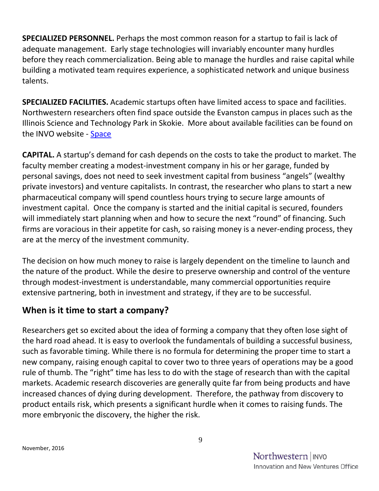**SPECIALIZED PERSONNEL.** Perhaps the most common reason for a startup to fail is lack of adequate management. Early stage technologies will invariably encounter many hurdles before they reach commercialization. Being able to manage the hurdles and raise capital while building a motivated team requires experience, a sophisticated network and unique business talents.

**SPECIALIZED FACILITIES.** Academic startups often have limited access to space and facilities. Northwestern researchers often find space outside the Evanston campus in places such as the Illinois Science and Technology Park in Skokie. More about available facilities can be found on the INVO website - [Space](https://invo.northwestern.edu/space)

**CAPITAL.** A startup's demand for cash depends on the costs to take the product to market. The faculty member creating a modest-investment company in his or her garage, funded by personal savings, does not need to seek investment capital from business "angels" (wealthy private investors) and venture capitalists. In contrast, the researcher who plans to start a new pharmaceutical company will spend countless hours trying to secure large amounts of investment capital. Once the company is started and the initial capital is secured, founders will immediately start planning when and how to secure the next "round" of financing. Such firms are voracious in their appetite for cash, so raising money is a never-ending process, they are at the mercy of the investment community.

The decision on how much money to raise is largely dependent on the timeline to launch and the nature of the product. While the desire to preserve ownership and control of the venture through modest-investment is understandable, many commercial opportunities require extensive partnering, both in investment and strategy, if they are to be successful.

## <span id="page-8-0"></span>**When is it time to start a company?**

Researchers get so excited about the idea of forming a company that they often lose sight of the hard road ahead. It is easy to overlook the fundamentals of building a successful business, such as favorable timing. While there is no formula for determining the proper time to start a new company, raising enough capital to cover two to three years of operations may be a good rule of thumb. The "right" time has less to do with the stage of research than with the capital markets. Academic research discoveries are generally quite far from being products and have increased chances of dying during development. Therefore, the pathway from discovery to product entails risk, which presents a significant hurdle when it comes to raising funds. The more embryonic the discovery, the higher the risk.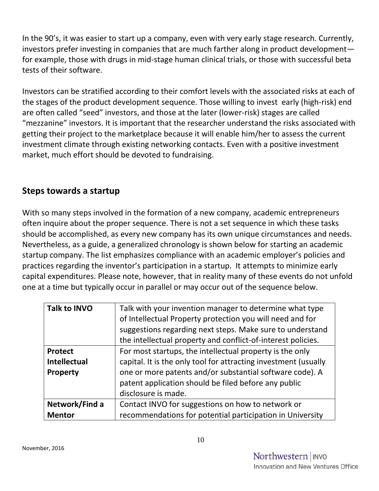In the 90's, it was easier to start up a company, even with very early stage research. Currently, investors prefer investing in companies that are much farther along in product development for example, those with drugs in mid-stage human clinical trials, or those with successful beta tests of their software.

Investors can be stratified according to their comfort levels with the associated risks at each of the stages of the product development sequence. Those willing to invest early (high-risk) end are often called "seed" investors, and those at the later (lower-risk) stages are called "mezzanine" investors. It is important that the researcher understand the risks associated with getting their project to the marketplace because it will enable him/her to assess the current investment climate through existing networking contacts. Even with a positive investment market, much effort should be devoted to fundraising.

## <span id="page-9-0"></span>**Steps towards a startup**

With so many steps involved in the formation of a new company, academic entrepreneurs often inquire about the proper sequence. There is not a set sequence in which these tasks should be accomplished, as every new company has its own unique circumstances and needs. Nevertheless, as a guide, a generalized chronology is shown below for starting an academic startup company. The list emphasizes compliance with an academic employer's policies and practices regarding the inventor's participation in a startup. It attempts to minimize early capital expenditures. Please note, however, that in reality many of these events do not unfold one at a time but typically occur in parallel or may occur out of the sequence below.

| Talk to INVO    | Talk with your invention manager to determine what type<br>of Intellectual Property protection you will need and for<br>suggestions regarding next steps. Make sure to understand<br>the intellectual property and conflict-of-interest policies. |
|-----------------|---------------------------------------------------------------------------------------------------------------------------------------------------------------------------------------------------------------------------------------------------|
| <b>Protect</b>  | For most startups, the intellectual property is the only                                                                                                                                                                                          |
| Intellectual    | capital. It is the only tool for attracting investment (usually                                                                                                                                                                                   |
| <b>Property</b> | one or more patents and/or substantial software code). A                                                                                                                                                                                          |
|                 | patent application should be filed before any public                                                                                                                                                                                              |
|                 | disclosure is made.                                                                                                                                                                                                                               |
| Network/Find a  | Contact INVO for suggestions on how to network or                                                                                                                                                                                                 |
| <b>Mentor</b>   | recommendations for potential participation in University                                                                                                                                                                                         |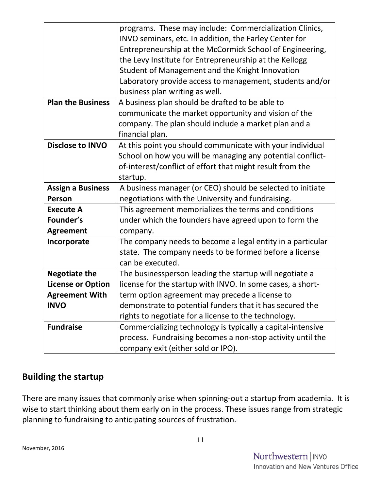|                          | programs. These may include: Commercialization Clinics,<br>INVO seminars, etc. In addition, the Farley Center for<br>Entrepreneurship at the McCormick School of Engineering,<br>the Levy Institute for Entrepreneurship at the Kellogg |  |  |
|--------------------------|-----------------------------------------------------------------------------------------------------------------------------------------------------------------------------------------------------------------------------------------|--|--|
|                          | Student of Management and the Knight Innovation                                                                                                                                                                                         |  |  |
|                          | Laboratory provide access to management, students and/or                                                                                                                                                                                |  |  |
|                          | business plan writing as well.                                                                                                                                                                                                          |  |  |
| <b>Plan the Business</b> | A business plan should be drafted to be able to                                                                                                                                                                                         |  |  |
|                          | communicate the market opportunity and vision of the                                                                                                                                                                                    |  |  |
|                          | company. The plan should include a market plan and a                                                                                                                                                                                    |  |  |
|                          | financial plan.                                                                                                                                                                                                                         |  |  |
| <b>Disclose to INVO</b>  | At this point you should communicate with your individual                                                                                                                                                                               |  |  |
|                          | School on how you will be managing any potential conflict-                                                                                                                                                                              |  |  |
|                          | of-interest/conflict of effort that might result from the                                                                                                                                                                               |  |  |
|                          | startup.                                                                                                                                                                                                                                |  |  |
| <b>Assign a Business</b> | A business manager (or CEO) should be selected to initiate                                                                                                                                                                              |  |  |
| <b>Person</b>            | negotiations with the University and fundraising.                                                                                                                                                                                       |  |  |
| <b>Execute A</b>         | This agreement memorializes the terms and conditions                                                                                                                                                                                    |  |  |
| Founder's                | under which the founders have agreed upon to form the                                                                                                                                                                                   |  |  |
| <b>Agreement</b>         | company.                                                                                                                                                                                                                                |  |  |
| Incorporate              | The company needs to become a legal entity in a particular                                                                                                                                                                              |  |  |
|                          | state. The company needs to be formed before a license                                                                                                                                                                                  |  |  |
|                          | can be executed.                                                                                                                                                                                                                        |  |  |
| <b>Negotiate the</b>     | The businessperson leading the startup will negotiate a                                                                                                                                                                                 |  |  |
| <b>License or Option</b> | license for the startup with INVO. In some cases, a short-                                                                                                                                                                              |  |  |
| <b>Agreement With</b>    | term option agreement may precede a license to                                                                                                                                                                                          |  |  |
| <b>INVO</b>              | demonstrate to potential funders that it has secured the                                                                                                                                                                                |  |  |
|                          | rights to negotiate for a license to the technology.                                                                                                                                                                                    |  |  |
| <b>Fundraise</b>         | Commercializing technology is typically a capital-intensive                                                                                                                                                                             |  |  |
|                          | process. Fundraising becomes a non-stop activity until the                                                                                                                                                                              |  |  |
|                          | company exit (either sold or IPO).                                                                                                                                                                                                      |  |  |

## <span id="page-10-0"></span>**Building the startup**

There are many issues that commonly arise when spinning-out a startup from academia. It is wise to start thinking about them early on in the process. These issues range from strategic planning to fundraising to anticipating sources of frustration.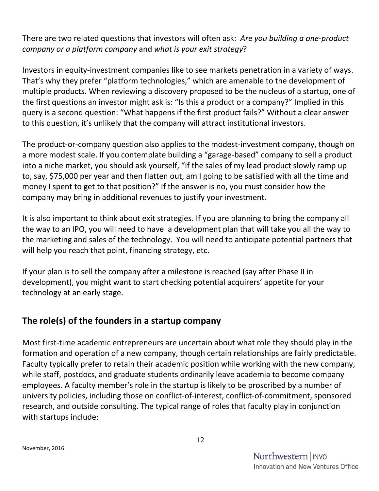There are two related questions that investors will often ask: *Are you building a one-product company or a platform company* and *what is your exit strategy*?

Investors in equity-investment companies like to see markets penetration in a variety of ways. That's why they prefer "platform technologies," which are amenable to the development of multiple products. When reviewing a discovery proposed to be the nucleus of a startup, one of the first questions an investor might ask is: "Is this a product or a company?" Implied in this query is a second question: "What happens if the first product fails?" Without a clear answer to this question, it's unlikely that the company will attract institutional investors.

The product-or-company question also applies to the modest-investment company, though on a more modest scale. If you contemplate building a "garage-based" company to sell a product into a niche market, you should ask yourself, "If the sales of my lead product slowly ramp up to, say, \$75,000 per year and then flatten out, am I going to be satisfied with all the time and money I spent to get to that position?" If the answer is no, you must consider how the company may bring in additional revenues to justify your investment.

It is also important to think about exit strategies. If you are planning to bring the company all the way to an IPO, you will need to have a development plan that will take you all the way to the marketing and sales of the technology. You will need to anticipate potential partners that will help you reach that point, financing strategy, etc.

If your plan is to sell the company after a milestone is reached (say after Phase II in development), you might want to start checking potential acquirers' appetite for your technology at an early stage.

## <span id="page-11-0"></span>**The role(s) of the founders in a startup company**

Most first-time academic entrepreneurs are uncertain about what role they should play in the formation and operation of a new company, though certain relationships are fairly predictable. Faculty typically prefer to retain their academic position while working with the new company, while staff, postdocs, and graduate students ordinarily leave academia to become company employees. A faculty member's role in the startup is likely to be proscribed by a number of university policies, including those on conflict-of-interest, conflict-of-commitment, sponsored research, and outside consulting. The typical range of roles that faculty play in conjunction with startups include: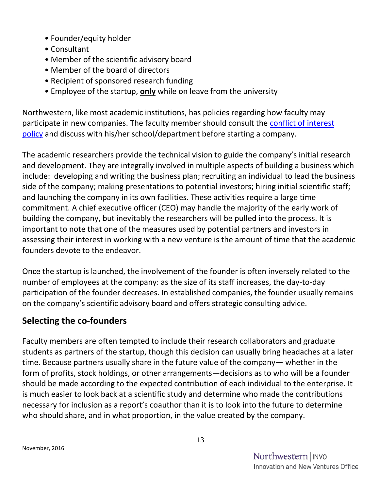- Founder/equity holder
- Consultant
- Member of the scientific advisory board
- Member of the board of directors
- Recipient of sponsored research funding
- Employee of the startup, **only** while on leave from the university

Northwestern, like most academic institutions, has policies regarding how faculty may participate in new companies. The faculty member should consult the [conflict of interest](http://www.northwestern.edu/coi/policy/index.html)  [policy](http://www.northwestern.edu/coi/policy/index.html) and discuss with his/her school/department before starting a company.

The academic researchers provide the technical vision to guide the company's initial research and development. They are integrally involved in multiple aspects of building a business which include: developing and writing the business plan; recruiting an individual to lead the business side of the company; making presentations to potential investors; hiring initial scientific staff; and launching the company in its own facilities. These activities require a large time commitment. A chief executive officer (CEO) may handle the majority of the early work of building the company, but inevitably the researchers will be pulled into the process. It is important to note that one of the measures used by potential partners and investors in assessing their interest in working with a new venture is the amount of time that the academic founders devote to the endeavor.

Once the startup is launched, the involvement of the founder is often inversely related to the number of employees at the company: as the size of its staff increases, the day-to-day participation of the founder decreases. In established companies, the founder usually remains on the company's scientific advisory board and offers strategic consulting advice.

## <span id="page-12-0"></span>**Selecting the co-founders**

Faculty members are often tempted to include their research collaborators and graduate students as partners of the startup, though this decision can usually bring headaches at a later time. Because partners usually share in the future value of the company— whether in the form of profits, stock holdings, or other arrangements—decisions as to who will be a founder should be made according to the expected contribution of each individual to the enterprise. It is much easier to look back at a scientific study and determine who made the contributions necessary for inclusion as a report's coauthor than it is to look into the future to determine who should share, and in what proportion, in the value created by the company.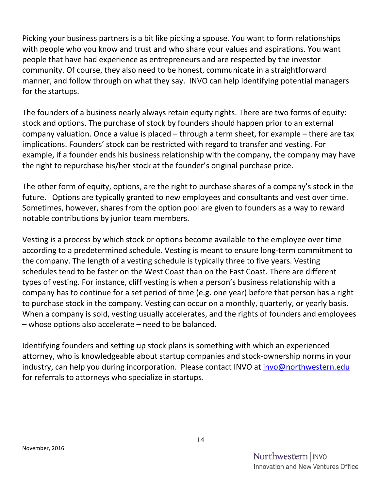Picking your business partners is a bit like picking a spouse. You want to form relationships with people who you know and trust and who share your values and aspirations. You want people that have had experience as entrepreneurs and are respected by the investor community. Of course, they also need to be honest, communicate in a straightforward manner, and follow through on what they say. INVO can help identifying potential managers for the startups.

The founders of a business nearly always retain equity rights. There are two forms of equity: stock and options. The purchase of stock by founders should happen prior to an external company valuation. Once a value is placed – through a term sheet, for example – there are tax implications. Founders' stock can be restricted with regard to transfer and vesting. For example, if a founder ends his business relationship with the company, the company may have the right to repurchase his/her stock at the founder's original purchase price.

The other form of equity, options, are the right to purchase shares of a company's stock in the future. Options are typically granted to new employees and consultants and vest over time. Sometimes, however, shares from the option pool are given to founders as a way to reward notable contributions by junior team members.

Vesting is a process by which stock or options become available to the employee over time according to a predetermined schedule. Vesting is meant to ensure long-term commitment to the company. The length of a vesting schedule is typically three to five years. Vesting schedules tend to be faster on the West Coast than on the East Coast. There are different types of vesting. For instance, cliff vesting is when a person's business relationship with a company has to continue for a set period of time (e.g. one year) before that person has a right to purchase stock in the company. Vesting can occur on a monthly, quarterly, or yearly basis. When a company is sold, vesting usually accelerates, and the rights of founders and employees – whose options also accelerate – need to be balanced.

Identifying founders and setting up stock plans is something with which an experienced attorney, who is knowledgeable about startup companies and stock-ownership norms in your industry, can help you during incorporation. Please contact INVO at [invo@northwestern.edu](mailto:invo@northwestern.edu) for referrals to attorneys who specialize in startups.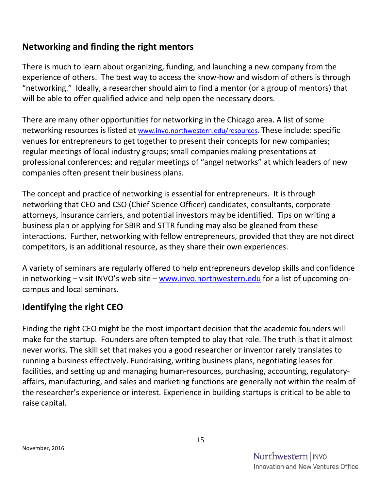## <span id="page-14-0"></span>**Networking and finding the right mentors**

There is much to learn about organizing, funding, and launching a new company from the experience of others. The best way to access the know-how and wisdom of others is through "networking." Ideally, a researcher should aim to find a mentor (or a group of mentors) that will be able to offer qualified advice and help open the necessary doors.

There are many other opportunities for networking in the Chicago area. A list of some networking resources is listed at [www.invo.northwestern.edu/resources.](http://www.invo.northwestern.edu/resources) These include: specific venues for entrepreneurs to get together to present their concepts for new companies; regular meetings of local industry groups; small companies making presentations at professional conferences; and regular meetings of "angel networks" at which leaders of new companies often present their business plans.

The concept and practice of networking is essential for entrepreneurs. It is through networking that CEO and CSO (Chief Science Officer) candidates, consultants, corporate attorneys, insurance carriers, and potential investors may be identified. Tips on writing a business plan or applying for SBIR and STTR funding may also be gleaned from these interactions. Further, networking with fellow entrepreneurs, provided that they are not direct competitors, is an additional resource, as they share their own experiences.

A variety of seminars are regularly offered to help entrepreneurs develop skills and confidence in networking – visit INVO's web site – [www.invo.northwestern.edu](http://www.invo.northwestern.edu/) for a list of upcoming oncampus and local seminars.

## <span id="page-14-1"></span>**Identifying the right CEO**

Finding the right CEO might be the most important decision that the academic founders will make for the startup. Founders are often tempted to play that role. The truth is that it almost never works. The skill set that makes you a good researcher or inventor rarely translates to running a business effectively. Fundraising, writing business plans, negotiating leases for facilities, and setting up and managing human-resources, purchasing, accounting, regulatoryaffairs, manufacturing, and sales and marketing functions are generally not within the realm of the researcher's experience or interest. Experience in building startups is critical to be able to raise capital.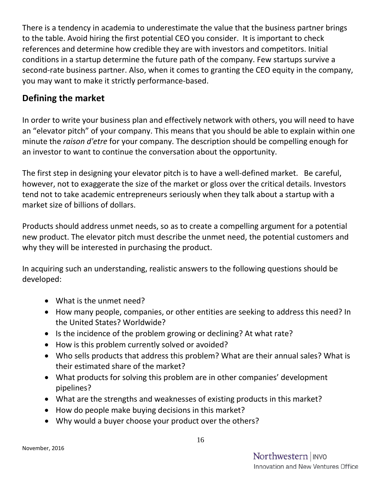There is a tendency in academia to underestimate the value that the business partner brings to the table. Avoid hiring the first potential CEO you consider. It is important to check references and determine how credible they are with investors and competitors. Initial conditions in a startup determine the future path of the company. Few startups survive a second-rate business partner. Also, when it comes to granting the CEO equity in the company, you may want to make it strictly performance-based.

## <span id="page-15-0"></span>**Defining the market**

In order to write your business plan and effectively network with others, you will need to have an "elevator pitch" of your company. This means that you should be able to explain within one minute the *raison d'etre* for your company. The description should be compelling enough for an investor to want to continue the conversation about the opportunity.

The first step in designing your elevator pitch is to have a well-defined market. Be careful, however, not to exaggerate the size of the market or gloss over the critical details. Investors tend not to take academic entrepreneurs seriously when they talk about a startup with a market size of billions of dollars.

Products should address unmet needs, so as to create a compelling argument for a potential new product. The elevator pitch must describe the unmet need, the potential customers and why they will be interested in purchasing the product.

In acquiring such an understanding, realistic answers to the following questions should be developed:

- What is the unmet need?
- How many people, companies, or other entities are seeking to address this need? In the United States? Worldwide?
- Is the incidence of the problem growing or declining? At what rate?
- How is this problem currently solved or avoided?
- Who sells products that address this problem? What are their annual sales? What is their estimated share of the market?
- What products for solving this problem are in other companies' development pipelines?
- What are the strengths and weaknesses of existing products in this market?
- How do people make buying decisions in this market?
- Why would a buyer choose your product over the others?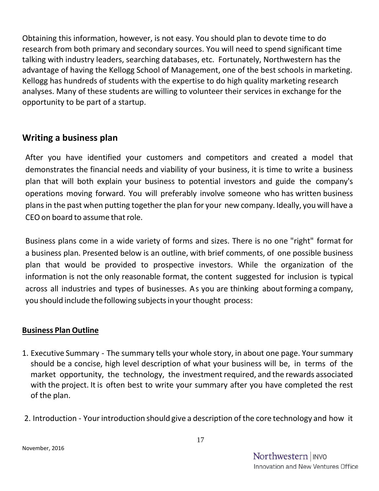Obtaining this information, however, is not easy. You should plan to devote time to do research from both primary and secondary sources. You will need to spend significant time talking with industry leaders, searching databases, etc. Fortunately, Northwestern has the advantage of having the Kellogg School of Management, one of the best schools in marketing. Kellogg has hundreds of students with the expertise to do high quality marketing research analyses. Many of these students are willing to volunteer their services in exchange for the opportunity to be part of a startup.

#### <span id="page-16-0"></span>**Writing a business plan**

After you have identified your customers and competitors and created a model that demonstrates the financial needs and viability of your business, it is time to write a business plan that will both explain your business to potential investors and guide the company's operations moving forward. You will preferably involve someone who has written business plans in the past when putting together the plan for your new company. Ideally, you will have a CEO on board to assume that role.

Business plans come in a wide variety of forms and sizes. There is no one "right" format for a business plan. Presented below is an outline, with brief comments, of one possible business plan that would be provided to prospective investors. While the organization of the information is not the only reasonable format, the content suggested for inclusion is typical across all industries and types of businesses. As you are thinking aboutforming a company, you should include the following subjects in your thought process:

#### **Business Plan Outline**

- 1. Executive Summary The summary tells your whole story, in about one page. Your summary should be a concise, high level description of what your business will be, in terms of the market opportunity, the technology, the investment required, and the rewards associated with the project. It is often best to write your summary after you have completed the rest of the plan.
- 2. Introduction Your introduction should give a description of the core technology and how it

November, 2016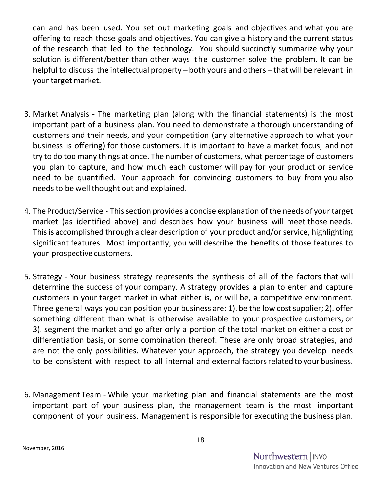can and has been used. You set out marketing goals and objectives and what you are offering to reach those goals and objectives. You can give a history and the current status of the research that led to the technology. You should succinctly summarize why your solution is different/better than other ways the customer solve the problem. It can be helpful to discuss the intellectual property – both yours and others – that will be relevant in your target market.

- 3. Market Analysis The marketing plan (along with the financial statements) is the most important part of a business plan. You need to demonstrate a thorough understanding of customers and their needs, and your competition (any alternative approach to what your business is offering) for those customers. It is important to have a market focus, and not try to do too many things at once. The number of customers, what percentage of customers you plan to capture, and how much each customer will pay for your product or service need to be quantified. Your approach for convincing customers to buy from you also needs to be well thought out and explained.
- 4. The Product/Service This section provides a concise explanation of the needs of your target market (as identified above) and describes how your business will meet those needs. This is accomplished through a clear description of your product and/or service, highlighting significant features. Most importantly, you will describe the benefits of those features to your prospective customers.
- 5. Strategy Your business strategy represents the synthesis of all of the factors that will determine the success of your company. A strategy provides a plan to enter and capture customers in your target market in what either is, or will be, a competitive environment. Three general ways you can position your business are: 1). be the low cost supplier; 2). offer something different than what is otherwise available to your prospective customers; or 3). segment the market and go after only a portion of the total market on either a cost or differentiation basis, or some combination thereof. These are only broad strategies, and are not the only possibilities. Whatever your approach, the strategy you develop needs to be consistent with respect to all internal and externalfactorsrelated to your business.
- 6. Management Team While your marketing plan and financial statements are the most important part of your business plan, the management team is the most important component of your business. Management is responsible for executing the business plan.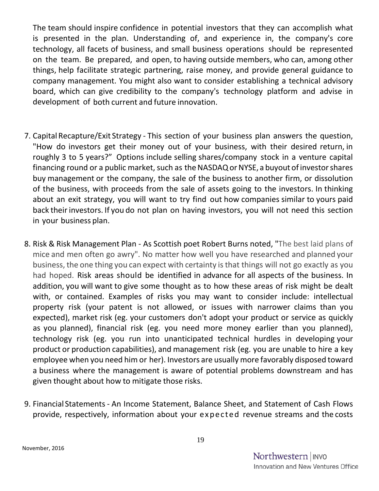The team should inspire confidence in potential investors that they can accomplish what is presented in the plan. Understanding of, and experience in, the company's core technology, all facets of business, and small business operations should be represented on the team. Be prepared, and open, to having outside members, who can, among other things, help facilitate strategic partnering, raise money, and provide general guidance to company management. You might also want to consider establishing a technical advisory board, which can give credibility to the company's technology platform and advise in development of both current and future innovation.

- 7. Capital Recapture/Exit Strategy This section of your business plan answers the question, "How do investors get their money out of your business, with their desired return, in roughly 3 to 5 years?" Options include selling shares/company stock in a venture capital financing round or a public market, such as the NASDAQ or NYSE, a buyout of investor shares buy management or the company, the sale of the business to another firm, or dissolution of the business, with proceeds from the sale of assets going to the investors. In thinking about an exit strategy, you will want to try find out how companies similar to yours paid back their investors. If you do not plan on having investors, you will not need this section in your business plan.
- 8. Risk & Risk Management Plan As Scottish poet Robert Burns noted, "The best laid plans of mice and men often go awry". No matter how well you have researched and planned your business, the one thing you can expect with certainty isthat things will not go exactly as you had hoped. Risk areas should be identified in advance for all aspects of the business. In addition, you will want to give some thought as to how these areas of risk might be dealt with, or contained. Examples of risks you may want to consider include: intellectual property risk (your patent is not allowed, or issues with narrower claims than you expected), market risk (eg. your customers don't adopt your product or service as quickly as you planned), financial risk (eg. you need more money earlier than you planned), technology risk (eg. you run into unanticipated technical hurdles in developing your product or production capabilities), and management risk (eg. you are unable to hire a key employee when you need him or her). Investors are usually more favorably disposed toward a business where the management is aware of potential problems downstream and has given thought about how to mitigate those risks.
- 9. Financial Statements An Income Statement, Balance Sheet, and Statement of Cash Flows provide, respectively, information about your expected revenue streams and the costs

November, 2016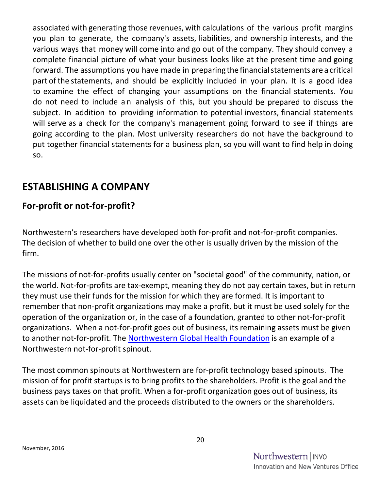associated with generating those revenues, with calculations of the various profit margins you plan to generate, the company's assets, liabilities, and ownership interests, and the various ways that money will come into and go out of the company. They should convey a complete financial picture of what your business looks like at the present time and going forward. The assumptions you have made in preparing the financial statements are a critical part of the statements, and should be explicitly included in your plan. It is a good idea to examine the effect of changing your assumptions on the financial statements. You do not need to include an analysis of this, but you should be prepared to discuss the subject. In addition to providing information to potential investors, financial statements will serve as a check for the company's management going forward to see if things are going according to the plan. Most university researchers do not have the background to put together financial statements for a business plan, so you will want to find help in doing so.

## <span id="page-19-0"></span>**ESTABLISHING A COMPANY**

## <span id="page-19-1"></span>**For-profit or not-for-profit?**

Northwestern's researchers have developed both for-profit and not-for-profit companies. The decision of whether to build one over the other is usually driven by the mission of the firm.

The missions of not-for-profits usually center on "societal good" of the community, nation, or the world. Not-for-profits are tax-exempt, meaning they do not pay certain taxes, but in return they must use their funds for the mission for which they are formed. It is important to remember that non-profit organizations may make a profit, but it must be used solely for the operation of the organization or, in the case of a foundation, granted to other not-for-profit organizations. When a not-for-profit goes out of business, its remaining assets must be given to another not-for-profit. The [Northwestern Global Health Foundation](http://www.nwghf.org/) is an example of a Northwestern not-for-profit spinout.

The most common spinouts at Northwestern are for-profit technology based spinouts. The mission of for profit startups is to bring profits to the shareholders. Profit is the goal and the business pays taxes on that profit. When a for-profit organization goes out of business, its assets can be liquidated and the proceeds distributed to the owners or the shareholders.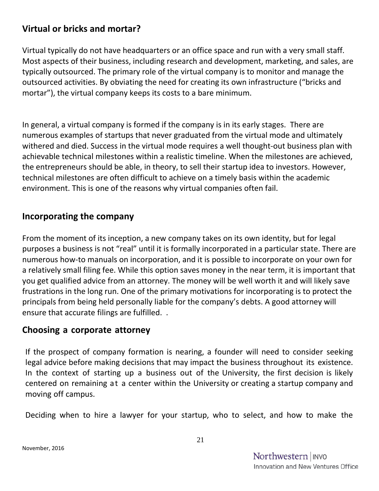## <span id="page-20-0"></span>**Virtual or bricks and mortar?**

Virtual typically do not have headquarters or an office space and run with a very small staff. Most aspects of their business, including research and development, marketing, and sales, are typically outsourced. The primary role of the virtual company is to monitor and manage the outsourced activities. By obviating the need for creating its own infrastructure ("bricks and mortar"), the virtual company keeps its costs to a bare minimum.

In general, a virtual company is formed if the company is in its early stages. There are numerous examples of startups that never graduated from the virtual mode and ultimately withered and died. Success in the virtual mode requires a well thought-out business plan with achievable technical milestones within a realistic timeline. When the milestones are achieved, the entrepreneurs should be able, in theory, to sell their startup idea to investors. However, technical milestones are often difficult to achieve on a timely basis within the academic environment. This is one of the reasons why virtual companies often fail.

#### <span id="page-20-1"></span>**Incorporating the company**

From the moment of its inception, a new company takes on its own identity, but for legal purposes a business is not "real" until it is formally incorporated in a particular state. There are numerous how-to manuals on incorporation, and it is possible to incorporate on your own for a relatively small filing fee. While this option saves money in the near term, it is important that you get qualified advice from an attorney. The money will be well worth it and will likely save frustrations in the long run. One of the primary motivations for incorporating is to protect the principals from being held personally liable for the company's debts. A good attorney will ensure that accurate filings are fulfilled. .

#### <span id="page-20-2"></span>**Choosing a corporate attorney**

If the prospect of company formation is nearing, a founder will need to consider seeking legal advice before making decisions that may impact the business throughout its existence. In the context of starting up a business out of the University, the first decision is likely centered on remaining at a center within the University or creating a startup company and moving off campus.

Deciding when to hire a lawyer for your startup, who to select, and how to make the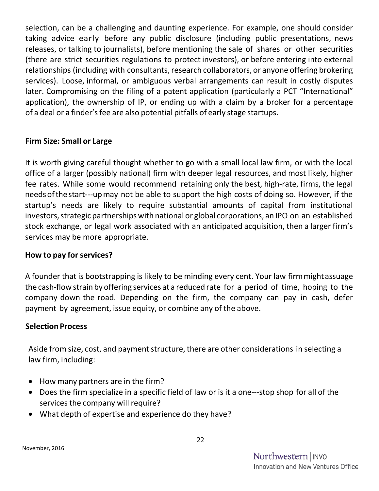selection, can be a challenging and daunting experience. For example, one should consider taking advice early before any public disclosure (including public presentations, news releases, or talking to journalists), before mentioning the sale of shares or other securities (there are strict securities regulations to protect investors), or before entering into external relationships (including with consultants, research collaborators, or anyone offering brokering services). Loose, informal, or ambiguous verbal arrangements can result in costly disputes later. Compromising on the filing of a patent application (particularly a PCT "International" application), the ownership of IP, or ending up with a claim by a broker for a percentage of a deal or a finder's fee are also potential pitfalls of early stage startups.

#### **Firm Size: Small or Large**

It is worth giving careful thought whether to go with a small local law firm, or with the local office of a larger (possibly national) firm with deeper legal resources, and most likely, higher fee rates. While some would recommend retaining only the best, high-rate, firms, the legal needsofthe start---upmay not be able to support the high costs of doing so. However, if the startup's needs are likely to require substantial amounts of capital from institutional investors, strategic partnerships with national or global corporations, an IPO on an established stock exchange, or legal work associated with an anticipated acquisition, then a larger firm's services may be more appropriate.

#### **How to pay for services?**

A founder that is bootstrapping is likely to be minding every cent. Your law firmmightassuage the cash-flow strain by offering services at a reduced rate for a period of time, hoping to the company down the road. Depending on the firm, the company can pay in cash, defer payment by agreement, issue equity, or combine any of the above.

#### **Selection Process**

Aside from size, cost, and payment structure, there are other considerations in selecting a law firm, including:

- How many partners are in the firm?
- Does the firm specialize in a specific field of law or is it a one---stop shop for all of the services the company will require?
- What depth of expertise and experience do they have?

November, 2016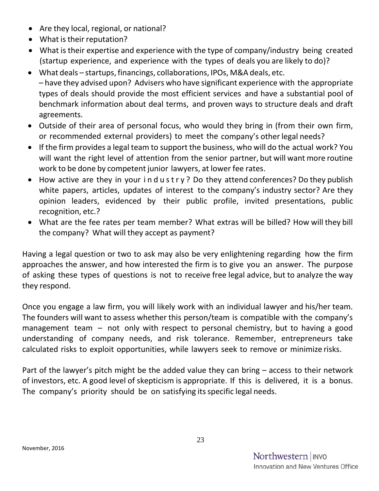- Are they local, regional, or national?
- What is their reputation?
- What is their expertise and experience with the type of company/industry being created (startup experience, and experience with the types of deals you are likely to do)?
- What deals startups, financings, collaborations, IPOs, M&A deals, etc. – have they advised upon? Advisers who have significant experience with the appropriate types of deals should provide the most efficient services and have a substantial pool of benchmark information about deal terms, and proven ways to structure deals and draft agreements.
- Outside of their area of personal focus, who would they bring in (from their own firm, or recommended external providers) to meet the company's other legal needs?
- If the firm provides a legal team to support the business, who will do the actual work? You will want the right level of attention from the senior partner, but will want more routine work to be done by competent junior lawyers, at lower fee rates.
- How active are they in your industry? Do they attend conferences? Do they publish white papers, articles, updates of interest to the company's industry sector? Are they opinion leaders, evidenced by their public profile, invited presentations, public recognition, etc.?
- What are the fee rates per team member? What extras will be billed? How will they bill the company? What will they accept as payment?

Having a legal question or two to ask may also be very enlightening regarding how the firm approaches the answer, and how interested the firm is to give you an answer. The purpose of asking these types of questions is not to receive free legal advice, but to analyze the way they respond.

Once you engage a law firm, you will likely work with an individual lawyer and his/her team. The founders will want to assess whether this person/team is compatible with the company's management team – not only with respect to personal chemistry, but to having a good understanding of company needs, and risk tolerance. Remember, entrepreneurs take calculated risks to exploit opportunities, while lawyers seek to remove or minimize risks.

Part of the lawyer's pitch might be the added value they can bring – access to their network of investors, etc. A good level of skepticism is appropriate. If this is delivered, it is a bonus. The company's priority should be on satisfying its specific legal needs.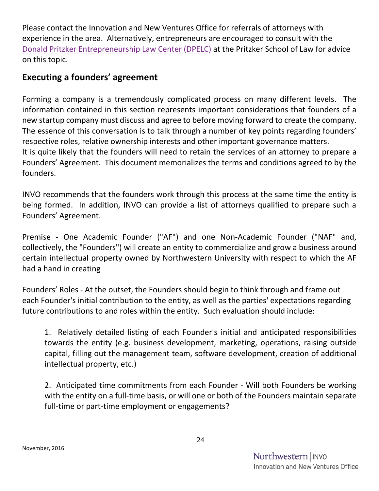Please contact the Innovation and New Ventures Office for referrals of attorneys with experience in the area. Alternatively, entrepreneurs are encouraged to consult with the Donald Pritzker [Entrepreneurship](http://www.law.northwestern.edu/research-faculty/entrepreneurship/) Law Center (DPELC) at the Pritzker School of Law for advice on this topic.

## <span id="page-23-0"></span>**Executing a founders' agreement**

Forming a company is a tremendously complicated process on many different levels. The information contained in this section represents important considerations that founders of a new startup company must discuss and agree to before moving forward to create the company. The essence of this conversation is to talk through a number of key points regarding founders' respective roles, relative ownership interests and other important governance matters. It is quite likely that the founders will need to retain the services of an attorney to prepare a Founders' Agreement. This document memorializes the terms and conditions agreed to by the founders.

INVO recommends that the founders work through this process at the same time the entity is being formed. In addition, INVO can provide a list of attorneys qualified to prepare such a Founders' Agreement.

Premise - One Academic Founder ("AF") and one Non-Academic Founder ("NAF" and, collectively, the "Founders") will create an entity to commercialize and grow a business around certain intellectual property owned by Northwestern University with respect to which the AF had a hand in creating

Founders' Roles - At the outset, the Founders should begin to think through and frame out each Founder's initial contribution to the entity, as well as the parties' expectations regarding future contributions to and roles within the entity. Such evaluation should include:

1. Relatively detailed listing of each Founder's initial and anticipated responsibilities towards the entity (e.g. business development, marketing, operations, raising outside capital, filling out the management team, software development, creation of additional intellectual property, etc.)

2. Anticipated time commitments from each Founder - Will both Founders be working with the entity on a full-time basis, or will one or both of the Founders maintain separate full-time or part-time employment or engagements?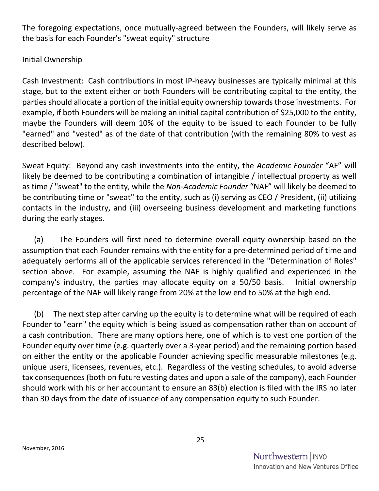The foregoing expectations, once mutually-agreed between the Founders, will likely serve as the basis for each Founder's "sweat equity" structure

Initial Ownership

Cash Investment: Cash contributions in most IP-heavy businesses are typically minimal at this stage, but to the extent either or both Founders will be contributing capital to the entity, the parties should allocate a portion of the initial equity ownership towards those investments. For example, if both Founders will be making an initial capital contribution of \$25,000 to the entity, maybe the Founders will deem 10% of the equity to be issued to each Founder to be fully "earned" and "vested" as of the date of that contribution (with the remaining 80% to vest as described below).

Sweat Equity: Beyond any cash investments into the entity, the *Academic Founder* "AF" will likely be deemed to be contributing a combination of intangible / intellectual property as well as time / "sweat" to the entity, while the *Non-Academic Founder* "NAF" will likely be deemed to be contributing time or "sweat" to the entity, such as (i) serving as CEO / President, (ii) utilizing contacts in the industry, and (iii) overseeing business development and marketing functions during the early stages.

 (a) The Founders will first need to determine overall equity ownership based on the assumption that each Founder remains with the entity for a pre-determined period of time and adequately performs all of the applicable services referenced in the "Determination of Roles" section above. For example, assuming the NAF is highly qualified and experienced in the company's industry, the parties may allocate equity on a 50/50 basis. Initial ownership percentage of the NAF will likely range from 20% at the low end to 50% at the high end.

 (b) The next step after carving up the equity is to determine what will be required of each Founder to "earn" the equity which is being issued as compensation rather than on account of a cash contribution. There are many options here, one of which is to vest one portion of the Founder equity over time (e.g. quarterly over a 3-year period) and the remaining portion based on either the entity or the applicable Founder achieving specific measurable milestones (e.g. unique users, licensees, revenues, etc.). Regardless of the vesting schedules, to avoid adverse tax consequences (both on future vesting dates and upon a sale of the company), each Founder should work with his or her accountant to ensure an 83(b) election is filed with the IRS no later than 30 days from the date of issuance of any compensation equity to such Founder.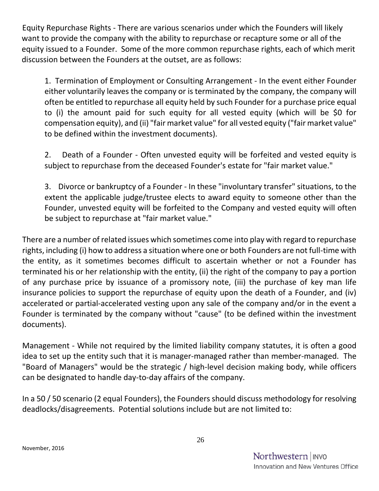Equity Repurchase Rights - There are various scenarios under which the Founders will likely want to provide the company with the ability to repurchase or recapture some or all of the equity issued to a Founder. Some of the more common repurchase rights, each of which merit discussion between the Founders at the outset, are as follows:

1. Termination of Employment or Consulting Arrangement - In the event either Founder either voluntarily leaves the company or is terminated by the company, the company will often be entitled to repurchase all equity held by such Founder for a purchase price equal to (i) the amount paid for such equity for all vested equity (which will be \$0 for compensation equity), and (ii) "fair market value" for all vested equity ("fair market value" to be defined within the investment documents).

2. Death of a Founder - Often unvested equity will be forfeited and vested equity is subject to repurchase from the deceased Founder's estate for "fair market value."

3. Divorce or bankruptcy of a Founder - In these "involuntary transfer" situations, to the extent the applicable judge/trustee elects to award equity to someone other than the Founder, unvested equity will be forfeited to the Company and vested equity will often be subject to repurchase at "fair market value."

There are a number of related issues which sometimes come into play with regard to repurchase rights, including (i) how to address a situation where one or both Founders are not full-time with the entity, as it sometimes becomes difficult to ascertain whether or not a Founder has terminated his or her relationship with the entity, (ii) the right of the company to pay a portion of any purchase price by issuance of a promissory note, (iii) the purchase of key man life insurance policies to support the repurchase of equity upon the death of a Founder, and (iv) accelerated or partial-accelerated vesting upon any sale of the company and/or in the event a Founder is terminated by the company without "cause" (to be defined within the investment documents).

Management - While not required by the limited liability company statutes, it is often a good idea to set up the entity such that it is manager-managed rather than member-managed. The "Board of Managers" would be the strategic / high-level decision making body, while officers can be designated to handle day-to-day affairs of the company.

In a 50 / 50 scenario (2 equal Founders), the Founders should discuss methodology for resolving deadlocks/disagreements. Potential solutions include but are not limited to: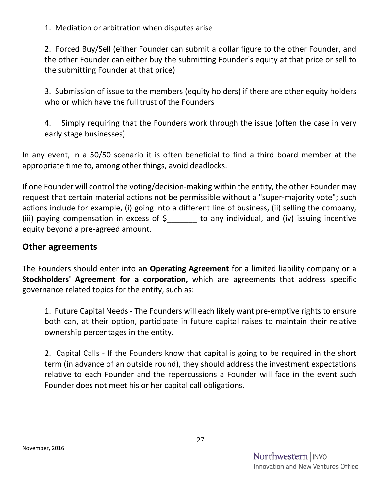1. Mediation or arbitration when disputes arise

2. Forced Buy/Sell (either Founder can submit a dollar figure to the other Founder, and the other Founder can either buy the submitting Founder's equity at that price or sell to the submitting Founder at that price)

3. Submission of issue to the members (equity holders) if there are other equity holders who or which have the full trust of the Founders

4. Simply requiring that the Founders work through the issue (often the case in very early stage businesses)

In any event, in a 50/50 scenario it is often beneficial to find a third board member at the appropriate time to, among other things, avoid deadlocks.

If one Founder will control the voting/decision-making within the entity, the other Founder may request that certain material actions not be permissible without a "super-majority vote"; such actions include for example, (i) going into a different line of business, (ii) selling the company, (iii) paying compensation in excess of  $\zeta$  are to any individual, and (iv) issuing incentive equity beyond a pre-agreed amount.

#### <span id="page-26-0"></span>**Other agreements**

The Founders should enter into a**n Operating Agreement** for a limited liability company or a **Stockholders' Agreement for a corporation,** which are agreements that address specific governance related topics for the entity, such as:

1. Future Capital Needs - The Founders will each likely want pre-emptive rights to ensure both can, at their option, participate in future capital raises to maintain their relative ownership percentages in the entity.

2. Capital Calls - If the Founders know that capital is going to be required in the short term (in advance of an outside round), they should address the investment expectations relative to each Founder and the repercussions a Founder will face in the event such Founder does not meet his or her capital call obligations.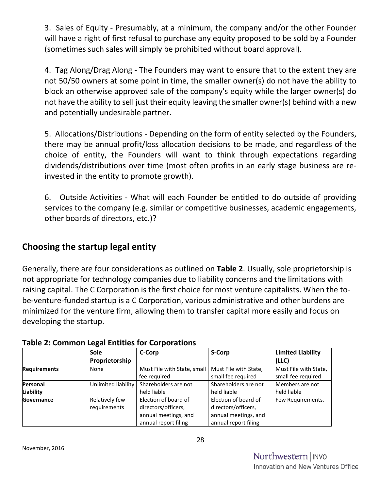3. Sales of Equity - Presumably, at a minimum, the company and/or the other Founder will have a right of first refusal to purchase any equity proposed to be sold by a Founder (sometimes such sales will simply be prohibited without board approval).

4. Tag Along/Drag Along - The Founders may want to ensure that to the extent they are not 50/50 owners at some point in time, the smaller owner(s) do not have the ability to block an otherwise approved sale of the company's equity while the larger owner(s) do not have the ability to sell just their equity leaving the smaller owner(s) behind with a new and potentially undesirable partner.

5. Allocations/Distributions - Depending on the form of entity selected by the Founders, there may be annual profit/loss allocation decisions to be made, and regardless of the choice of entity, the Founders will want to think through expectations regarding dividends/distributions over time (most often profits in an early stage business are reinvested in the entity to promote growth).

6. Outside Activities - What will each Founder be entitled to do outside of providing services to the company (e.g. similar or competitive businesses, academic engagements, other boards of directors, etc.)?

## <span id="page-27-0"></span>**Choosing the startup legal entity**

Generally, there are four considerations as outlined on **Table 2**. Usually, sole proprietorship is not appropriate for technology companies due to liability concerns and the limitations with raising capital. The C Corporation is the first choice for most venture capitalists. When the tobe-venture-funded startup is a C Corporation, various administrative and other burdens are minimized for the venture firm, allowing them to transfer capital more easily and focus on developing the startup.

|                     | Sole                | C-Corp                      | S-Corp                | <b>Limited Liability</b> |
|---------------------|---------------------|-----------------------------|-----------------------|--------------------------|
|                     | Proprietorship      |                             |                       | (LLC)                    |
| <b>Requirements</b> | None                | Must File with State, small | Must File with State, | Must File with State,    |
|                     |                     | fee required                | small fee required    | small fee required       |
| <b>Personal</b>     | Unlimited liability | Shareholders are not        | Shareholders are not  | Members are not          |
| Liability           |                     | held liable                 | held liable           | held liable              |
| <b>Governance</b>   | Relatively few      | Election of board of        | Election of board of  | Few Requirements.        |
|                     | requirements        | directors/officers,         | directors/officers,   |                          |
|                     |                     | annual meetings, and        | annual meetings, and  |                          |
|                     |                     | annual report filing        | annual report filing  |                          |

#### **Table 2: Common Legal Entities for Corporations**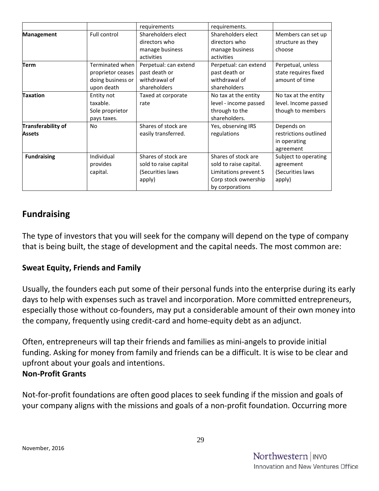|                           |                     | requirements          | requirements.          |                       |
|---------------------------|---------------------|-----------------------|------------------------|-----------------------|
| <b>Management</b>         | <b>Full control</b> | Shareholders elect    | Shareholders elect     | Members can set up    |
|                           |                     | directors who         | directors who          | structure as they     |
|                           |                     | manage business       | manage business        | choose                |
|                           |                     | activities            | activities             |                       |
| Term                      | Terminated when     | Perpetual: can extend | Perpetual: can extend  | Perpetual, unless     |
|                           | proprietor ceases   | past death or         | past death or          | state requires fixed  |
|                           | doing business or   | withdrawal of         | withdrawal of          | amount of time        |
|                           | upon death          | shareholders          | shareholders           |                       |
| <b>Taxation</b>           | Entity not          | Taxed at corporate    | No tax at the entity   | No tax at the entity  |
|                           | taxable.            | rate                  | level - income passed  | level. Income passed  |
|                           | Sole proprietor     |                       | through to the         | though to members     |
|                           | pays taxes.         |                       | shareholders.          |                       |
| <b>Transferability of</b> | No.                 | Shares of stock are   | Yes, observing IRS     | Depends on            |
| <b>Assets</b>             |                     | easily transferred.   | regulations            | restrictions outlined |
|                           |                     |                       |                        | in operating          |
|                           |                     |                       |                        | agreement             |
| <b>Fundraising</b>        | Individual          | Shares of stock are   | Shares of stock are    | Subject to operating  |
|                           | provides            | sold to raise capital | sold to raise capital. | agreement             |
|                           | capital.            | (Securities laws      | Limitations prevent S  | (Securities laws      |
|                           |                     | apply)                | Corp stock ownership   | apply)                |
|                           |                     |                       | by corporations        |                       |

## <span id="page-28-0"></span>**Fundraising**

The type of investors that you will seek for the company will depend on the type of company that is being built, the stage of development and the capital needs. The most common are:

#### **Sweat Equity, Friends and Family**

Usually, the founders each put some of their personal funds into the enterprise during its early days to help with expenses such as travel and incorporation. More committed entrepreneurs, especially those without co-founders, may put a considerable amount of their own money into the company, frequently using credit-card and home-equity debt as an adjunct.

Often, entrepreneurs will tap their friends and families as mini-angels to provide initial funding. Asking for money from family and friends can be a difficult. It is wise to be clear and upfront about your goals and intentions. **Non-Profit Grants**

Not-for-profit foundations are often good places to seek funding if the mission and goals of your company aligns with the missions and goals of a non-profit foundation. Occurring more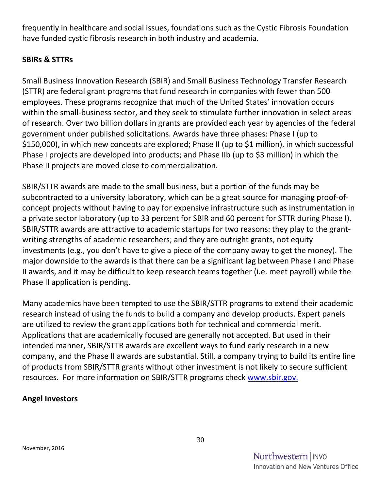frequently in healthcare and social issues, foundations such as the Cystic Fibrosis Foundation have funded cystic fibrosis research in both industry and academia.

#### **SBIRs & STTRs**

Small Business Innovation Research (SBIR) and Small Business Technology Transfer Research (STTR) are federal grant programs that fund research in companies with fewer than 500 employees. These programs recognize that much of the United States' innovation occurs within the small-business sector, and they seek to stimulate further innovation in select areas of research. Over two billion dollars in grants are provided each year by agencies of the federal government under published solicitations. Awards have three phases: Phase I (up to \$150,000), in which new concepts are explored; Phase II (up to \$1 million), in which successful Phase I projects are developed into products; and Phase IIb (up to \$3 million) in which the Phase II projects are moved close to commercialization.

SBIR/STTR awards are made to the small business, but a portion of the funds may be subcontracted to a university laboratory, which can be a great source for managing proof-ofconcept projects without having to pay for expensive infrastructure such as instrumentation in a private sector laboratory (up to 33 percent for SBIR and 60 percent for STTR during Phase I). SBIR/STTR awards are attractive to academic startups for two reasons: they play to the grantwriting strengths of academic researchers; and they are outright grants, not equity investments (e.g., you don't have to give a piece of the company away to get the money). The major downside to the awards is that there can be a significant lag between Phase I and Phase II awards, and it may be difficult to keep research teams together (i.e. meet payroll) while the Phase II application is pending.

Many academics have been tempted to use the SBIR/STTR programs to extend their academic research instead of using the funds to build a company and develop products. Expert panels are utilized to review the grant applications both for technical and commercial merit. Applications that are academically focused are generally not accepted. But used in their intended manner, SBIR/STTR awards are excellent ways to fund early research in a new company, and the Phase II awards are substantial. Still, a company trying to build its entire line of products from SBIR/STTR grants without other investment is not likely to secure sufficient resources. For more information on SBIR/STTR programs check [www.sbir.gov.](http://www.sbir.gov/)

#### **Angel Investors**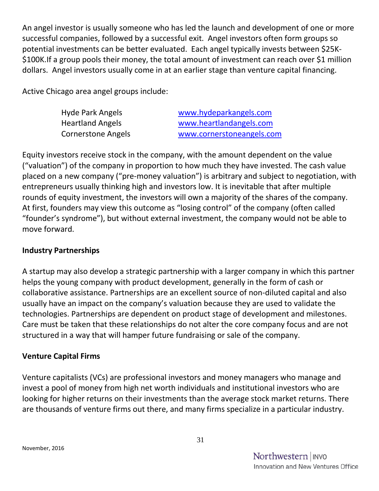An angel investor is usually someone who has led the launch and development of one or more successful companies, followed by a successful exit. Angel investors often form groups so potential investments can be better evaluated. Each angel typically invests between \$25K- \$100K.If a group pools their money, the total amount of investment can reach over \$1 million dollars. Angel investors usually come in at an earlier stage than venture capital financing.

Active Chicago area angel groups include:

| Hyde Park Angels          | www.hydeparkangels.com    |
|---------------------------|---------------------------|
| <b>Heartland Angels</b>   | www.heartlandangels.com   |
| <b>Cornerstone Angels</b> | www.cornerstoneangels.com |

Equity investors receive stock in the company, with the amount dependent on the value ("valuation") of the company in proportion to how much they have invested. The cash value placed on a new company ("pre-money valuation") is arbitrary and subject to negotiation, with entrepreneurs usually thinking high and investors low. It is inevitable that after multiple rounds of equity investment, the investors will own a majority of the shares of the company. At first, founders may view this outcome as "losing control" of the company (often called "founder's syndrome"), but without external investment, the company would not be able to move forward.

#### **Industry Partnerships**

A startup may also develop a strategic partnership with a larger company in which this partner helps the young company with product development, generally in the form of cash or collaborative assistance. Partnerships are an excellent source of non-diluted capital and also usually have an impact on the company's valuation because they are used to validate the technologies. Partnerships are dependent on product stage of development and milestones. Care must be taken that these relationships do not alter the core company focus and are not structured in a way that will hamper future fundraising or sale of the company.

#### **Venture Capital Firms**

Venture capitalists (VCs) are professional investors and money managers who manage and invest a pool of money from high net worth individuals and institutional investors who are looking for higher returns on their investments than the average stock market returns. There are thousands of venture firms out there, and many firms specialize in a particular industry.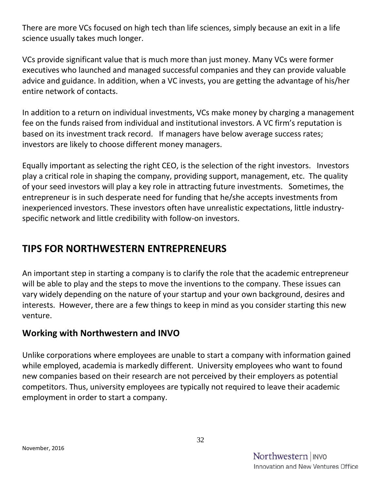There are more VCs focused on high tech than life sciences, simply because an exit in a life science usually takes much longer.

VCs provide significant value that is much more than just money. Many VCs were former executives who launched and managed successful companies and they can provide valuable advice and guidance. In addition, when a VC invests, you are getting the advantage of his/her entire network of contacts.

In addition to a return on individual investments, VCs make money by charging a management fee on the funds raised from individual and institutional investors. A VC firm's reputation is based on its investment track record. If managers have below average success rates; investors are likely to choose different money managers.

Equally important as selecting the right CEO, is the selection of the right investors. Investors play a critical role in shaping the company, providing support, management, etc. The quality of your seed investors will play a key role in attracting future investments. Sometimes, the entrepreneur is in such desperate need for funding that he/she accepts investments from inexperienced investors. These investors often have unrealistic expectations, little industryspecific network and little credibility with follow-on investors.

# <span id="page-31-0"></span>**TIPS FOR NORTHWESTERN ENTREPRENEURS**

An important step in starting a company is to clarify the role that the academic entrepreneur will be able to play and the steps to move the inventions to the company. These issues can vary widely depending on the nature of your startup and your own background, desires and interests. However, there are a few things to keep in mind as you consider starting this new venture.

## <span id="page-31-1"></span>**Working with Northwestern and INVO**

Unlike corporations where employees are unable to start a company with information gained while employed, academia is markedly different. University employees who want to found new companies based on their research are not perceived by their employers as potential competitors. Thus, university employees are typically not required to leave their academic employment in order to start a company.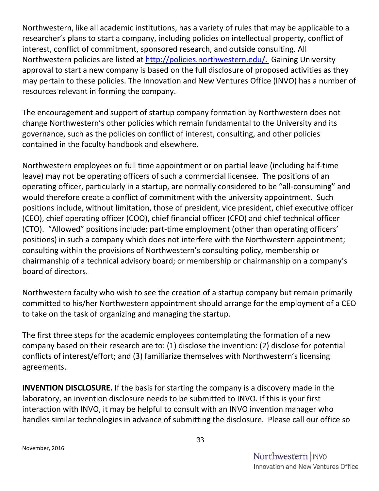Northwestern, like all academic institutions, has a variety of rules that may be applicable to a researcher's plans to start a company, including policies on intellectual property, conflict of interest, conflict of commitment, sponsored research, and outside consulting. All Northwestern policies are listed at [http://policies.northwestern.edu/.](http://policies.northwestern.edu/) Gaining University approval to start a new company is based on the full disclosure of proposed activities as they may pertain to these policies. The Innovation and New Ventures Office (INVO) has a number of resources relevant in forming the company.

The encouragement and support of startup company formation by Northwestern does not change Northwestern's other policies which remain fundamental to the University and its governance, such as the policies on conflict of interest, consulting, and other policies contained in the faculty handbook and elsewhere.

Northwestern employees on full time appointment or on partial leave (including half-time leave) may not be operating officers of such a commercial licensee. The positions of an operating officer, particularly in a startup, are normally considered to be "all-consuming" and would therefore create a conflict of commitment with the university appointment. Such positions include, without limitation, those of president, vice president, chief executive officer (CEO), chief operating officer (COO), chief financial officer (CFO) and chief technical officer (CTO). "Allowed" positions include: part-time employment (other than operating officers' positions) in such a company which does not interfere with the Northwestern appointment; consulting within the provisions of Northwestern's consulting policy, membership or chairmanship of a technical advisory board; or membership or chairmanship on a company's board of directors.

Northwestern faculty who wish to see the creation of a startup company but remain primarily committed to his/her Northwestern appointment should arrange for the employment of a CEO to take on the task of organizing and managing the startup.

The first three steps for the academic employees contemplating the formation of a new company based on their research are to: (1) disclose the invention: (2) disclose for potential conflicts of interest/effort; and (3) familiarize themselves with Northwestern's licensing agreements.

**INVENTION DISCLOSURE.** If the basis for starting the company is a discovery made in the laboratory, an invention disclosure needs to be submitted to INVO. If this is your first interaction with INVO, it may be helpful to consult with an INVO invention manager who handles similar technologies in advance of submitting the disclosure. Please call our office so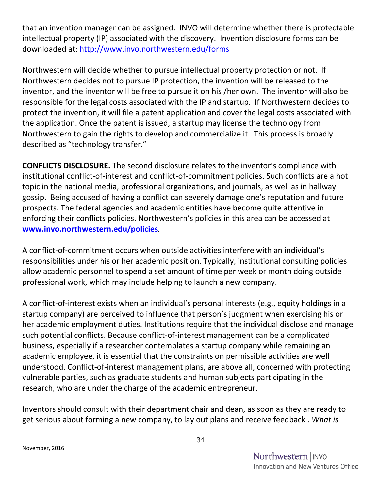that an invention manager can be assigned. INVO will determine whether there is protectable intellectual property (IP) associated with the discovery. Invention disclosure forms can be downloaded at:<http://www.invo.northwestern.edu/forms>

Northwestern will decide whether to pursue intellectual property protection or not. If Northwestern decides not to pursue IP protection, the invention will be released to the inventor, and the inventor will be free to pursue it on his /her own. The inventor will also be responsible for the legal costs associated with the IP and startup. If Northwestern decides to protect the invention, it will file a patent application and cover the legal costs associated with the application. Once the patent is issued, a startup may license the technology from Northwestern to gain the rights to develop and commercialize it. This process is broadly described as "technology transfer."

**CONFLICTS DISCLOSURE.** The second disclosure relates to the inventor's compliance with institutional conflict-of-interest and conflict-of-commitment policies. Such conflicts are a hot topic in the national media, professional organizations, and journals, as well as in hallway gossip. Being accused of having a conflict can severely damage one's reputation and future prospects. The federal agencies and academic entities have become quite attentive in enforcing their conflicts policies. Northwestern's policies in this area can be accessed at **[www.invo.northwestern.edu/policies](http://www.invo.northwestern.edu/policies)***.*

A conflict-of-commitment occurs when outside activities interfere with an individual's responsibilities under his or her academic position. Typically, institutional consulting policies allow academic personnel to spend a set amount of time per week or month doing outside professional work, which may include helping to launch a new company.

A conflict-of-interest exists when an individual's personal interests (e.g., equity holdings in a startup company) are perceived to influence that person's judgment when exercising his or her academic employment duties. Institutions require that the individual disclose and manage such potential conflicts. Because conflict-of-interest management can be a complicated business, especially if a researcher contemplates a startup company while remaining an academic employee, it is essential that the constraints on permissible activities are well understood. Conflict-of-interest management plans, are above all, concerned with protecting vulnerable parties, such as graduate students and human subjects participating in the research, who are under the charge of the academic entrepreneur.

Inventors should consult with their department chair and dean, as soon as they are ready to get serious about forming a new company, to lay out plans and receive feedback . *What is*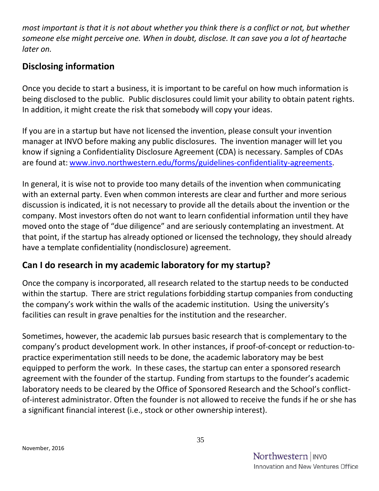*most important is that it is not about whether you think there is a conflict or not, but whether someone else might perceive one. When in doubt, disclose. It can save you a lot of heartache later on.*

## <span id="page-34-0"></span>**Disclosing information**

Once you decide to start a business, it is important to be careful on how much information is being disclosed to the public. Public disclosures could limit your ability to obtain patent rights. In addition, it might create the risk that somebody will copy your ideas.

If you are in a startup but have not licensed the invention, please consult your invention manager at INVO before making any public disclosures. The invention manager will let you know if signing a Confidentiality Disclosure Agreement (CDA) is necessary. Samples of CDAs are found at: [www.invo.northwestern.edu/forms/guidelines-confidentiality-agreements.](http://www.invo.northwestern.edu/forms/guidelines-confidentiality-agreements)

In general, it is wise not to provide too many details of the invention when communicating with an external party. Even when common interests are clear and further and more serious discussion is indicated, it is not necessary to provide all the details about the invention or the company. Most investors often do not want to learn confidential information until they have moved onto the stage of "due diligence" and are seriously contemplating an investment. At that point, if the startup has already optioned or licensed the technology, they should already have a template confidentiality (nondisclosure) agreement.

## <span id="page-34-1"></span>**Can I do research in my academic laboratory for my startup?**

Once the company is incorporated, all research related to the startup needs to be conducted within the startup. There are strict regulations forbidding startup companies from conducting the company's work within the walls of the academic institution. Using the university's facilities can result in grave penalties for the institution and the researcher.

Sometimes, however, the academic lab pursues basic research that is complementary to the company's product development work. In other instances, if proof-of-concept or reduction-topractice experimentation still needs to be done, the academic laboratory may be best equipped to perform the work. In these cases, the startup can enter a sponsored research agreement with the founder of the startup. Funding from startups to the founder's academic laboratory needs to be cleared by the Office of Sponsored Research and the School's conflictof-interest administrator. Often the founder is not allowed to receive the funds if he or she has a significant financial interest (i.e., stock or other ownership interest).

35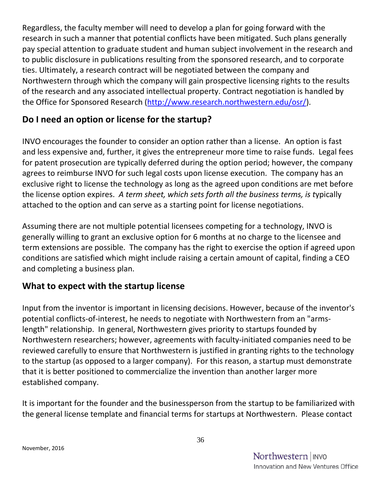Regardless, the faculty member will need to develop a plan for going forward with the research in such a manner that potential conflicts have been mitigated. Such plans generally pay special attention to graduate student and human subject involvement in the research and to public disclosure in publications resulting from the sponsored research, and to corporate ties. Ultimately, a research contract will be negotiated between the company and Northwestern through which the company will gain prospective licensing rights to the results of the research and any associated intellectual property. Contract negotiation is handled by the Office for Sponsored Research [\(http://www.research.northwestern.edu/osr/\)](http://www.research.northwestern.edu/osr/).

## <span id="page-35-0"></span>**Do I need an option or license for the startup?**

INVO encourages the founder to consider an option rather than a license. An option is fast and less expensive and, further, it gives the entrepreneur more time to raise funds. Legal fees for patent prosecution are typically deferred during the option period; however, the company agrees to reimburse INVO for such legal costs upon license execution. The company has an exclusive right to license the technology as long as the agreed upon conditions are met before the license option expires. *A term sheet, which sets forth all the business terms, is t*ypically attached to the option and can serve as a starting point for license negotiations.

Assuming there are not multiple potential licensees competing for a technology, INVO is generally willing to grant an exclusive option for 6 months at no charge to the licensee and term extensions are possible. The company has the right to exercise the option if agreed upon conditions are satisfied which might include raising a certain amount of capital, finding a CEO and completing a business plan.

## <span id="page-35-1"></span>**What to expect with the startup license**

Input from the inventor is important in licensing decisions. However, because of the inventor's potential conflicts-of-interest, he needs to negotiate with Northwestern from an "armslength" relationship. In general, Northwestern gives priority to startups founded by Northwestern researchers; however, agreements with faculty-initiated companies need to be reviewed carefully to ensure that Northwestern is justified in granting rights to the technology to the startup (as opposed to a larger company). For this reason, a startup must demonstrate that it is better positioned to commercialize the invention than another larger more established company.

It is important for the founder and the businessperson from the startup to be familiarized with the general license template and financial terms for startups at Northwestern. Please contact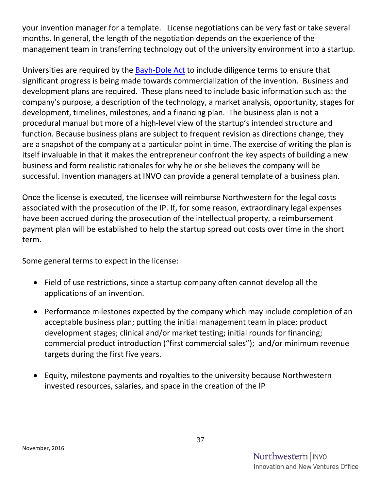your invention manager for a template. License negotiations can be very fast or take several months. In general, the length of the negotiation depends on the experience of the management team in transferring technology out of the university environment into a startup.

Universities are required by the [Bayh-Dole Act](https://en.wikipedia.org/wiki/Bayh%E2%80%93Dole_Act) to include diligence terms to ensure that significant progress is being made towards commercialization of the invention. Business and development plans are required. These plans need to include basic information such as: the company's purpose, a description of the technology, a market analysis, opportunity, stages for development, timelines, milestones, and a financing plan. The business plan is not a procedural manual but more of a high-level view of the startup's intended structure and function. Because business plans are subject to frequent revision as directions change, they are a snapshot of the company at a particular point in time. The exercise of writing the plan is itself invaluable in that it makes the entrepreneur confront the key aspects of building a new business and form realistic rationales for why he or she believes the company will be successful. Invention managers at INVO can provide a general template of a business plan.

Once the license is executed, the licensee will reimburse Northwestern for the legal costs associated with the prosecution of the IP. If, for some reason, extraordinary legal expenses have been accrued during the prosecution of the intellectual property, a reimbursement payment plan will be established to help the startup spread out costs over time in the short term.

Some general terms to expect in the license:

- Field of use restrictions, since a startup company often cannot develop all the applications of an invention.
- Performance milestones expected by the company which may include completion of an acceptable business plan; putting the initial management team in place; product development stages; clinical and/or market testing; initial rounds for financing; commercial product introduction ("first commercial sales"); and/or minimum revenue targets during the first five years.
- Equity, milestone payments and royalties to the university because Northwestern invested resources, salaries, and space in the creation of the IP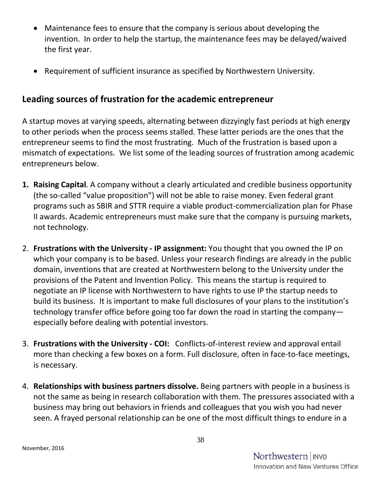- Maintenance fees to ensure that the company is serious about developing the invention. In order to help the startup, the maintenance fees may be delayed/waived the first year.
- Requirement of sufficient insurance as specified by Northwestern University.

## <span id="page-37-0"></span>**Leading sources of frustration for the academic entrepreneur**

A startup moves at varying speeds, alternating between dizzyingly fast periods at high energy to other periods when the process seems stalled. These latter periods are the ones that the entrepreneur seems to find the most frustrating. Much of the frustration is based upon a mismatch of expectations. We list some of the leading sources of frustration among academic entrepreneurs below.

- **1. Raising Capital**. A company without a clearly articulated and credible business opportunity (the so-called "value proposition") will not be able to raise money. Even federal grant programs such as SBIR and STTR require a viable product-commercialization plan for Phase II awards. Academic entrepreneurs must make sure that the company is pursuing markets, not technology.
- 2. **Frustrations with the University - IP assignment:** You thought that you owned the IP on which your company is to be based. Unless your research findings are already in the public domain, inventions that are created at Northwestern belong to the University under the provisions of the Patent and Invention Policy. This means the startup is required to negotiate an IP license with Northwestern to have rights to use IP the startup needs to build its business. It is important to make full disclosures of your plans to the institution's technology transfer office before going too far down the road in starting the company especially before dealing with potential investors.
- 3. **Frustrations with the University - COI:** Conflicts-of-interest review and approval entail more than checking a few boxes on a form. Full disclosure, often in face-to-face meetings, is necessary.
- 4. **Relationships with business partners dissolve.** Being partners with people in a business is not the same as being in research collaboration with them. The pressures associated with a business may bring out behaviors in friends and colleagues that you wish you had never seen. A frayed personal relationship can be one of the most difficult things to endure in a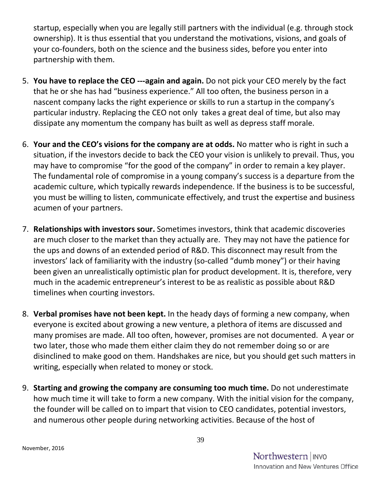startup, especially when you are legally still partners with the individual (e.g. through stock ownership). It is thus essential that you understand the motivations, visions, and goals of your co-founders, both on the science and the business sides, before you enter into partnership with them.

- 5. **You have to replace the CEO ---again and again.** Do not pick your CEO merely by the fact that he or she has had "business experience." All too often, the business person in a nascent company lacks the right experience or skills to run a startup in the company's particular industry. Replacing the CEO not only takes a great deal of time, but also may dissipate any momentum the company has built as well as depress staff morale.
- 6. **Your and the CEO's visions for the company are at odds.** No matter who is right in such a situation, if the investors decide to back the CEO your vision is unlikely to prevail. Thus, you may have to compromise "for the good of the company" in order to remain a key player. The fundamental role of compromise in a young company's success is a departure from the academic culture, which typically rewards independence. If the business is to be successful, you must be willing to listen, communicate effectively, and trust the expertise and business acumen of your partners.
- 7. **Relationships with investors sour.** Sometimes investors, think that academic discoveries are much closer to the market than they actually are. They may not have the patience for the ups and downs of an extended period of R&D. This disconnect may result from the investors' lack of familiarity with the industry (so-called "dumb money") or their having been given an unrealistically optimistic plan for product development. It is, therefore, very much in the academic entrepreneur's interest to be as realistic as possible about R&D timelines when courting investors.
- 8. **Verbal promises have not been kept.** In the heady days of forming a new company, when everyone is excited about growing a new venture, a plethora of items are discussed and many promises are made. All too often, however, promises are not documented. A year or two later, those who made them either claim they do not remember doing so or are disinclined to make good on them. Handshakes are nice, but you should get such matters in writing, especially when related to money or stock.
- 9. **Starting and growing the company are consuming too much time.** Do not underestimate how much time it will take to form a new company. With the initial vision for the company, the founder will be called on to impart that vision to CEO candidates, potential investors, and numerous other people during networking activities. Because of the host of